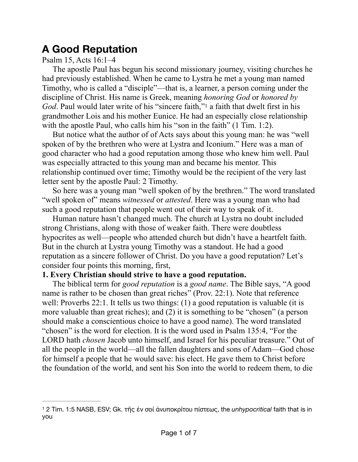# **A Good Reputation**

Psalm 15, Acts 16:1–4

The apostle Paul has begun his second missionary journey, visiting churches he had previously established. When he came to Lystra he met a young man named Timothy, who is called a "disciple"—that is, a learner, a person coming under the discipline of Christ. His name is Greek, meaning *honoring God* or *honored by God*. Paul would later write of his ["](#page-0-0)sincere faith,"<sup>[1](#page-0-0)</sup> a faith that dwelt first in his grandmother Lois and his mother Eunice. He had an especially close relationship with the apostle Paul, who calls him his "son in the faith" (1 Tim. 1:2).

<span id="page-0-1"></span>But notice what the author of of Acts says about this young man: he was "well spoken of by the brethren who were at Lystra and Iconium." Here was a man of good character who had a good reputation among those who knew him well. Paul was especially attracted to this young man and became his mentor. This relationship continued over time; Timothy would be the recipient of the very last letter sent by the apostle Paul: 2 Timothy.

So here was a young man "well spoken of by the brethren." The word translated "well spoken of" means *witnessed* or *attested*. Here was a young man who had such a good reputation that people went out of their way to speak of it.

Human nature hasn't changed much. The church at Lystra no doubt included strong Christians, along with those of weaker faith. There were doubtless hypocrites as well—people who attended church but didn't have a heartfelt faith. But in the church at Lystra young Timothy was a standout. He had a good reputation as a sincere follower of Christ. Do you have a good reputation? Let's consider four points this morning, first,

## **1. Every Christian should strive to have a good reputation.**

The biblical term for *good reputation* is a *good name*. The Bible says, "A good name is rather to be chosen than great riches" (Prov. 22:1). Note that reference well: Proverbs 22:1. It tells us two things: (1) a good reputation is valuable (it is more valuable than great riches); and (2) it is something to be "chosen" (a person should make a conscientious choice to have a good name). The word translated "chosen" is the word for election. It is the word used in Psalm 135:4, "For the LORD hath *chosen* Jacob unto himself, and Israel for his peculiar treasure." Out of all the people in the world—all the fallen daughters and sons of Adam—God chose for himself a people that he would save: his elect. He gave them to Christ before the foundation of the world, and sent his Son into the world to redeem them, to die

<span id="page-0-0"></span> <sup>2</sup> Tim. 1:5 NASB, ESV; Gk. τῆς ἐν σοὶ ἀνυποκρίτου πίστεως, the *unhypocritical* faith that is in [1](#page-0-1) you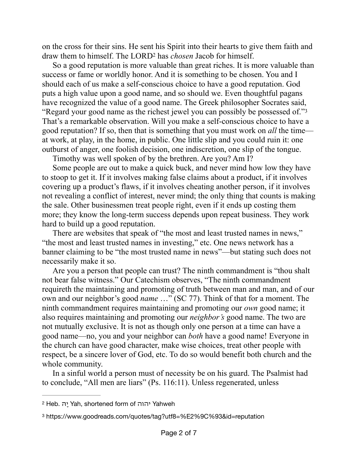<span id="page-1-2"></span>on the cross for their sins. He sent his Spirit into their hearts to give them faith and draw them to himself. The LORD<sup>2</sup> has *chosen* Jacob for himself.

So a good reputation is more valuable than great riches. It is more valuable than success or fame or worldly honor. And it is something to be chosen. You and I should each of us make a self-conscious choice to have a good reputation. God puts a high value upon a good name, and so should we. Even thoughtful pagans have recognized the value of a good name. The Greek philosopher Socrates said, "Regard your good name as the richest jewel you can possibly be possessed of.["3](#page-1-1) That's a remarkable observation. Will you make a self-conscious choice to have a good reputation? If so, then that is something that you must work on *all* the time at work, at play, in the home, in public. One little slip and you could ruin it: one outburst of anger, one foolish decision, one indiscretion, one slip of the tongue.

<span id="page-1-3"></span>Timothy was well spoken of by the brethren. Are you? Am I?

Some people are out to make a quick buck, and never mind how low they have to stoop to get it. If it involves making false claims about a product, if it involves covering up a product's flaws, if it involves cheating another person, if it involves not revealing a conflict of interest, never mind; the only thing that counts is making the sale. Other businessmen treat people right, even if it ends up costing them more; they know the long-term success depends upon repeat business. They work hard to build up a good reputation.

There are websites that speak of "the most and least trusted names in news," "the most and least trusted names in investing," etc. One news network has a banner claiming to be "the most trusted name in news"—but stating such does not necessarily make it so.

Are you a person that people can trust? The ninth commandment is "thou shalt not bear false witness." Our Catechism observes, "The ninth commandment requireth the maintaining and promoting of truth between man and man, and of our own and our neighbor's good *name* …" (SC 77). Think of that for a moment. The ninth commandment requires maintaining and promoting our *own* good name; it also requires maintaining and promoting our *neighbor's* good name. The two are not mutually exclusive. It is not as though only one person at a time can have a good name—no, you and your neighbor can *both* have a good name! Everyone in the church can have good character, make wise choices, treat other people with respect, be a sincere lover of God, etc. To do so would benefit both church and the whole community.

In a sinful world a person must of necessity be on his guard. The Psalmist had to conclude, "All men are liars" (Ps. 116:11). Unless regenerated, unless

<span id="page-1-0"></span>[<sup>2</sup>](#page-1-2) Heb. הָי Yah, shortened form of יהוה Yahweh

<span id="page-1-1"></span>[<sup>3</sup>](#page-1-3) https://www.goodreads.com/quotes/tag?utf8=%E2%9C%93&id=reputation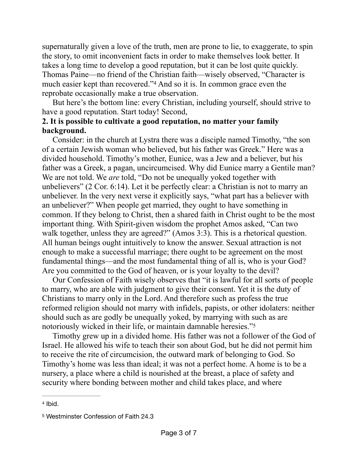supernaturally given a love of the truth, men are prone to lie, to exaggerate, to spin the story, to omit inconvenient facts in order to make themselves look better. It takes a long time to develop a good reputation, but it can be lost quite quickly. Thomas Paine—no friend of the Christian faith—wisely observed, "Character is mucheasier kept than recovered."<sup>[4](#page-2-0)</sup> And so it is. In common grace even the reprobate occasionally make a true observation.

<span id="page-2-2"></span>But here's the bottom line: every Christian, including yourself, should strive to have a good reputation. Start today! Second,

# **2. It is possible to cultivate a good reputation, no matter your family background.**

Consider: in the church at Lystra there was a disciple named Timothy, "the son of a certain Jewish woman who believed, but his father was Greek." Here was a divided household. Timothy's mother, Eunice, was a Jew and a believer, but his father was a Greek, a pagan, uncircumcised. Why did Eunice marry a Gentile man? We are not told. We *are* told, "Do not be unequally yoked together with unbelievers" (2 Cor. 6:14). Let it be perfectly clear: a Christian is not to marry an unbeliever. In the very next verse it explicitly says, "what part has a believer with an unbeliever?" When people get married, they ought to have something in common. If they belong to Christ, then a shared faith in Christ ought to be the most important thing. With Spirit-given wisdom the prophet Amos asked, "Can two walk together, unless they are agreed?" (Amos 3:3). This is a rhetorical question. All human beings ought intuitively to know the answer. Sexual attraction is not enough to make a successful marriage; there ought to be agreement on the most fundamental things—and the most fundamental thing of all is, who is your God? Are you committed to the God of heaven, or is your loyalty to the devil?

Our Confession of Faith wisely observes that "it is lawful for all sorts of people to marry, who are able with judgment to give their consent. Yet it is the duty of Christians to marry only in the Lord. And therefore such as profess the true reformed religion should not marry with infidels, papists, or other idolaters: neither should such as are godly be unequally yoked, by marrying with such as are notoriously wicked in their life, or maintain damnable heresies."[5](#page-2-1)

<span id="page-2-3"></span>Timothy grew up in a divided home. His father was not a follower of the God of Israel. He allowed his wife to teach their son about God, but he did not permit him to receive the rite of circumcision, the outward mark of belonging to God. So Timothy's home was less than ideal; it was not a perfect home. A home is to be a nursery, a place where a child is nourished at the breast, a place of safety and security where bonding between mother and child takes place, and where

<span id="page-2-0"></span> $4$  Ibid.

<span id="page-2-1"></span>[<sup>5</sup>](#page-2-3) Westminster Confession of Faith 24.3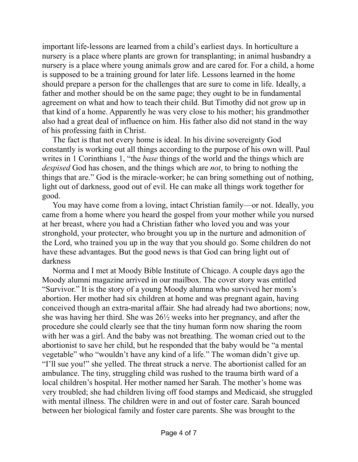important life-lessons are learned from a child's earliest days. In horticulture a nursery is a place where plants are grown for transplanting; in animal husbandry a nursery is a place where young animals grow and are cared for. For a child, a home is supposed to be a training ground for later life. Lessons learned in the home should prepare a person for the challenges that are sure to come in life. Ideally, a father and mother should be on the same page; they ought to be in fundamental agreement on what and how to teach their child. But Timothy did not grow up in that kind of a home. Apparently he was very close to his mother; his grandmother also had a great deal of influence on him. His father also did not stand in the way of his professing faith in Christ.

The fact is that not every home is ideal. In his divine sovereignty God constantly is working out all things according to the purpose of his own will. Paul writes in 1 Corinthians 1, "the *base* things of the world and the things which are *despised* God has chosen, and the things which are *not*, to bring to nothing the things that are." God is the miracle-worker; he can bring something out of nothing, light out of darkness, good out of evil. He can make all things work together for good.

You may have come from a loving, intact Christian family—or not. Ideally, you came from a home where you heard the gospel from your mother while you nursed at her breast, where you had a Christian father who loved you and was your stronghold, your protecter, who brought you up in the nurture and admonition of the Lord, who trained you up in the way that you should go. Some children do not have these advantages. But the good news is that God can bring light out of darkness

Norma and I met at Moody Bible Institute of Chicago. A couple days ago the Moody alumni magazine arrived in our mailbox. The cover story was entitled "Survivor." It is the story of a young Moody alumna who survived her mom's abortion. Her mother had six children at home and was pregnant again, having conceived though an extra-marital affair. She had already had two abortions; now, she was having her third. She was 26½ weeks into her pregnancy, and after the procedure she could clearly see that the tiny human form now sharing the room with her was a girl. And the baby was not breathing. The woman cried out to the abortionist to save her child, but he responded that the baby would be "a mental vegetable" who "wouldn't have any kind of a life." The woman didn't give up. "I'll sue you!" she yelled. The threat struck a nerve. The abortionist called for an ambulance. The tiny, struggling child was rushed to the trauma birth ward of a local children's hospital. Her mother named her Sarah. The mother's home was very troubled; she had children living off food stamps and Medicaid, she struggled with mental illness. The children were in and out of foster care. Sarah bounced between her biological family and foster care parents. She was brought to the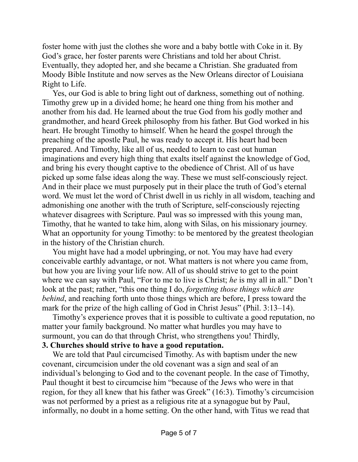foster home with just the clothes she wore and a baby bottle with Coke in it. By God's grace, her foster parents were Christians and told her about Christ. Eventually, they adopted her, and she became a Christian. She graduated from Moody Bible Institute and now serves as the New Orleans director of Louisiana Right to Life.

Yes, our God is able to bring light out of darkness, something out of nothing. Timothy grew up in a divided home; he heard one thing from his mother and another from his dad. He learned about the true God from his godly mother and grandmother, and heard Greek philosophy from his father. But God worked in his heart. He brought Timothy to himself. When he heard the gospel through the preaching of the apostle Paul, he was ready to accept it. His heart had been prepared. And Timothy, like all of us, needed to learn to cast out human imaginations and every high thing that exalts itself against the knowledge of God, and bring his every thought captive to the obedience of Christ. All of us have picked up some false ideas along the way. These we must self-consciously reject. And in their place we must purposely put in their place the truth of God's eternal word. We must let the word of Christ dwell in us richly in all wisdom, teaching and admonishing one another with the truth of Scripture, self-consciously rejecting whatever disagrees with Scripture. Paul was so impressed with this young man, Timothy, that he wanted to take him, along with Silas, on his missionary journey. What an opportunity for young Timothy: to be mentored by the greatest theologian in the history of the Christian church.

You might have had a model upbringing, or not. You may have had every conceivable earthly advantage, or not. What matters is not where you came from, but how you are living your life now. All of us should strive to get to the point where we can say with Paul, "For to me to live is Christ; *he* is my all in all." Don't look at the past; rather, "this one thing I do, *forgetting those things which are behind*, and reaching forth unto those things which are before, I press toward the mark for the prize of the high calling of God in Christ Jesus" (Phil. 3:13–14).

Timothy's experience proves that it is possible to cultivate a good reputation, no matter your family background. No matter what hurdles you may have to surmount, you can do that through Christ, who strengthens you! Thirdly,

## **3. Churches should strive to have a good reputation.**

We are told that Paul circumcised Timothy. As with baptism under the new covenant, circumcision under the old covenant was a sign and seal of an individual's belonging to God and to the covenant people. In the case of Timothy, Paul thought it best to circumcise him "because of the Jews who were in that region, for they all knew that his father was Greek" (16:3). Timothy's circumcision was not performed by a priest as a religious rite at a synagogue but by Paul, informally, no doubt in a home setting. On the other hand, with Titus we read that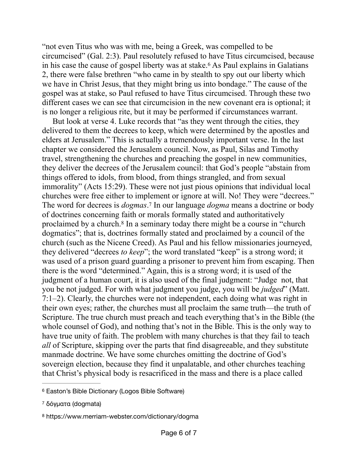<span id="page-5-3"></span>"not even Titus who was with me, being a Greek, was compelled to be circumcised" (Gal. 2:3). Paul resolutely refused to have Titus circumcised, because in his case the cause of gospel liberty was at stake[.](#page-5-0)<sup>[6](#page-5-0)</sup> As Paul explains in Galatians 2, there were false brethren "who came in by stealth to spy out our liberty which we have in Christ Jesus, that they might bring us into bondage." The cause of the gospel was at stake, so Paul refused to have Titus circumcised. Through these two different cases we can see that circumcision in the new covenant era is optional; it is no longer a religious rite, but it may be performed if circumstances warrant.

<span id="page-5-5"></span><span id="page-5-4"></span>But look at verse 4. Luke records that "as they went through the cities, they delivered to them the decrees to keep, which were determined by the apostles and elders at Jerusalem." This is actually a tremendously important verse. In the last chapter we considered the Jerusalem council. Now, as Paul, Silas and Timothy travel, strengthening the churches and preaching the gospel in new communities, they deliver the decrees of the Jerusalem council: that God's people "abstain from things offered to idols, from blood, from things strangled, and from sexual immorality" (Acts 15:29). These were not just pious opinions that individual local churches were free either to implement or ignore at will. No! They were "decrees." The word for decrees is *dogmas*.<sup>7</sup> In our language *dogma* means a doctrine or body of doctrines concerning faith or morals formally stated and authoritatively proclaimed by a church.<sup>[8](#page-5-2)</sup> In a seminary today there might be a course in "church" dogmatics"; that is, doctrines formally stated and proclaimed by a council of the church (such as the Nicene Creed). As Paul and his fellow missionaries journeyed, they delivered "decrees *to keep*"; the word translated "keep" is a strong word; it was used of a prison guard guarding a prisoner to prevent him from escaping. Then there is the word "determined." Again, this is a strong word; it is used of the judgment of a human court, it is also used of the final judgment: "Judge not, that you be not judged. For with what judgment you judge, you will be *judged*" (Matt. 7:1–2). Clearly, the churches were not independent, each doing what was right in their own eyes; rather, the churches must all proclaim the same truth—the truth of Scripture. The true church must preach and teach everything that's in the Bible (the whole counsel of God), and nothing that's not in the Bible. This is the only way to have true unity of faith. The problem with many churches is that they fail to teach *all* of Scripture, skipping over the parts that find disagreeable, and they substitute manmade doctrine. We have some churches omitting the doctrine of God's sovereign election, because they find it unpalatable, and other churches teaching that Christ's physical body is resacrificed in the mass and there is a place called

<span id="page-5-0"></span><sup>&</sup>lt;sup>[6](#page-5-3)</sup> Easton's Bible Dictionary (Logos Bible Software)

<span id="page-5-1"></span><sup>&</sup>lt;sup>[7](#page-5-4)</sup> δόγματα (dogmata)

<span id="page-5-2"></span>[<sup>8</sup>](#page-5-5) https://www.merriam-webster.com/dictionary/dogma